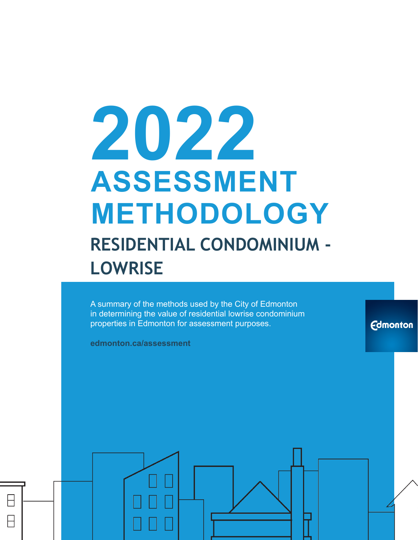# **2022 ASSESSMENT METHODOLOGY RESIDENTIAL CONDOMINIUM - LOWRISE**

A summary of the methods used by the City of Edmonton in determining the value of residential lowrise condominium properties in Edmonton for assessment purposes.

**Edmonton** 

**edmonton.ca/assessment**

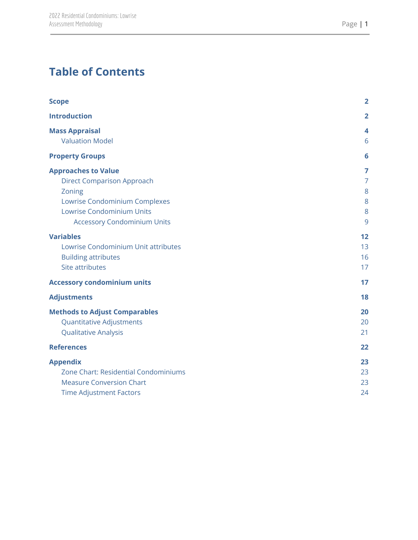# **Table of Contents**

| <b>Scope</b>                                                                                                                                                                                                                                    | $\overline{2}$                                      |
|-------------------------------------------------------------------------------------------------------------------------------------------------------------------------------------------------------------------------------------------------|-----------------------------------------------------|
| <b>Introduction</b>                                                                                                                                                                                                                             | $\overline{2}$                                      |
| <b>Mass Appraisal</b><br><b>Valuation Model</b>                                                                                                                                                                                                 | 4<br>6                                              |
| <b>Property Groups</b>                                                                                                                                                                                                                          | 6                                                   |
| <b>Approaches to Value</b><br><b>Direct Comparison Approach</b><br>Zoning<br>Lowrise Condominium Complexes<br><b>Lowrise Condominium Units</b><br><b>Accessory Condominium Units</b><br><b>Variables</b><br>Lowrise Condominium Unit attributes | 7<br>$\overline{7}$<br>8<br>8<br>8<br>9<br>12<br>13 |
| <b>Building attributes</b><br>Site attributes                                                                                                                                                                                                   | 16<br>17                                            |
| <b>Accessory condominium units</b>                                                                                                                                                                                                              | 17                                                  |
| <b>Adjustments</b>                                                                                                                                                                                                                              | 18                                                  |
| <b>Methods to Adjust Comparables</b><br><b>Quantitative Adjustments</b><br><b>Qualitative Analysis</b>                                                                                                                                          | 20<br>20<br>21                                      |
| <b>References</b>                                                                                                                                                                                                                               | 22                                                  |
| <b>Appendix</b><br>Zone Chart: Residential Condominiums<br><b>Measure Conversion Chart</b><br><b>Time Adjustment Factors</b>                                                                                                                    | 23<br>23<br>23<br>24                                |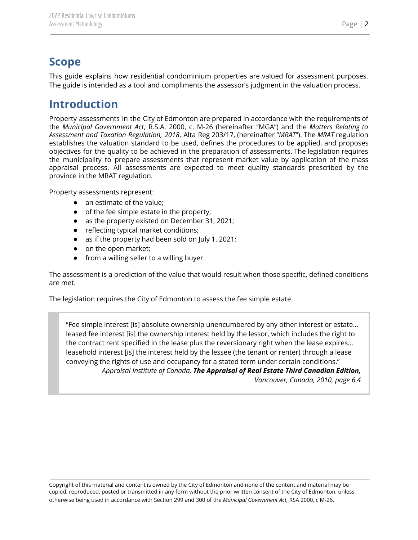### <span id="page-2-0"></span>**Scope**

This guide explains how residential condominium properties are valued for assessment purposes. The guide is intended as a tool and compliments the assessor's judgment in the valuation process.

# <span id="page-2-1"></span>**Introduction**

Property assessments in the City of Edmonton are prepared in accordance with the requirements of the *Municipal Government Act*, R.S.A. 2000, c. M-26 (hereinafter "MGA") and the *Matters Relating to Assessment and Taxation Regulation, 2018*, Alta Reg 203/17, (hereinafter "*MRAT*"). The *MRAT* regulation establishes the valuation standard to be used, defines the procedures to be applied, and proposes objectives for the quality to be achieved in the preparation of assessments. The legislation requires the municipality to prepare assessments that represent market value by application of the mass appraisal process. All assessments are expected to meet quality standards prescribed by the province in the MRAT regulation.

Property assessments represent:

- an estimate of the value;
- of the fee simple estate in the property;
- as the property existed on December 31, 2021;
- reflecting typical market conditions;
- as if the property had been sold on July 1, 2021;
- on the open market;
- from a willing seller to a willing buyer.

The assessment is a prediction of the value that would result when those specific, defined conditions are met.

The legislation requires the City of Edmonton to assess the fee simple estate.

"Fee simple interest [is] absolute ownership unencumbered by any other interest or estate… leased fee interest [is] the ownership interest held by the lessor, which includes the right to the contract rent specified in the lease plus the reversionary right when the lease expires… leasehold interest [is] the interest held by the lessee (the tenant or renter) through a lease conveying the rights of use and occupancy for a stated term under certain conditions." *Appraisal Institute of Canada, The Appraisal of Real Estate Third Canadian Edition,*

*Vancouver, Canada, 2010, page 6.4*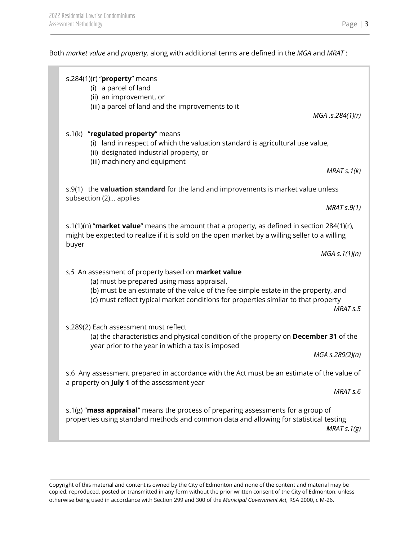Both *market value* and *property,* along with additional terms are defined in the *MGA* and *MRAT* :

|       | s.284(1)(r) " $proper$ y means<br>(i) a parcel of land<br>(ii) an improvement, or<br>(iii) a parcel of land and the improvements to it                                                                                                                                        | MGA .s.284(1)(r)     |
|-------|-------------------------------------------------------------------------------------------------------------------------------------------------------------------------------------------------------------------------------------------------------------------------------|----------------------|
|       | s.1(k) "regulated property" means<br>(i) land in respect of which the valuation standard is agricultural use value,<br>(ii) designated industrial property, or<br>(iii) machinery and equipment                                                                               |                      |
|       |                                                                                                                                                                                                                                                                               | MRAT $s.1(k)$        |
|       | s.9(1) the <b>valuation standard</b> for the land and improvements is market value unless<br>subsection (2) applies                                                                                                                                                           |                      |
|       |                                                                                                                                                                                                                                                                               | MRAT S.9(1)          |
|       | s.1(1)(n) "market value" means the amount that a property, as defined in section 284(1)(r),<br>might be expected to realize if it is sold on the open market by a willing seller to a willing                                                                                 |                      |
| buyer |                                                                                                                                                                                                                                                                               | $MGA \simeq 1(1)(n)$ |
|       | s.5 An assessment of property based on market value<br>(a) must be prepared using mass appraisal,<br>(b) must be an estimate of the value of the fee simple estate in the property, and<br>(c) must reflect typical market conditions for properties similar to that property | MRAT <sub>s.5</sub>  |
|       | s.289(2) Each assessment must reflect<br>(a) the characteristics and physical condition of the property on December 31 of the<br>year prior to the year in which a tax is imposed                                                                                             | MGA s.289(2)(a)      |
|       | s.6 Any assessment prepared in accordance with the Act must be an estimate of the value of<br>a property on July 1 of the assessment year                                                                                                                                     | MRAT <sub>s.6</sub>  |
|       | s.1(g) "mass appraisal" means the process of preparing assessments for a group of<br>properties using standard methods and common data and allowing for statistical testing                                                                                                   | MRAT $s.1(g)$        |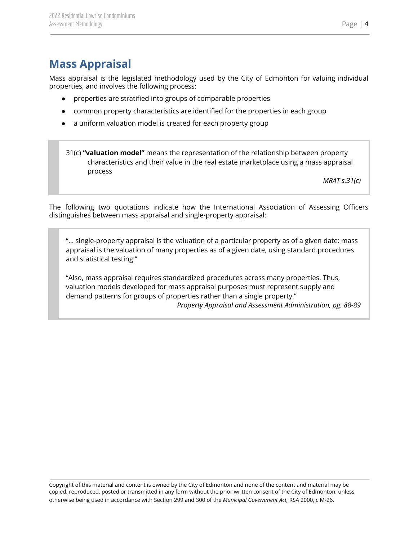# <span id="page-4-0"></span>**Mass Appraisal**

Mass appraisal is the legislated methodology used by the City of Edmonton for valuing individual properties, and involves the following process:

- properties are stratified into groups of comparable properties
- common property characteristics are identified for the properties in each group
- a uniform valuation model is created for each property group

31(c) **"valuation model"** means the representation of the relationship between property characteristics and their value in the real estate marketplace using a mass appraisal process

*MRAT s.31(c)*

The following two quotations indicate how the International Association of Assessing Officers distinguishes between mass appraisal and single-property appraisal:

"... single-property appraisal is the valuation of a particular property as of a given date: mass appraisal is the valuation of many properties as of a given date, using standard procedures and statistical testing."

"Also, mass appraisal requires standardized procedures across many properties. Thus, valuation models developed for mass appraisal purposes must represent supply and demand patterns for groups of properties rather than a single property."

*Property Appraisal and Assessment Administration, pg. 88-89*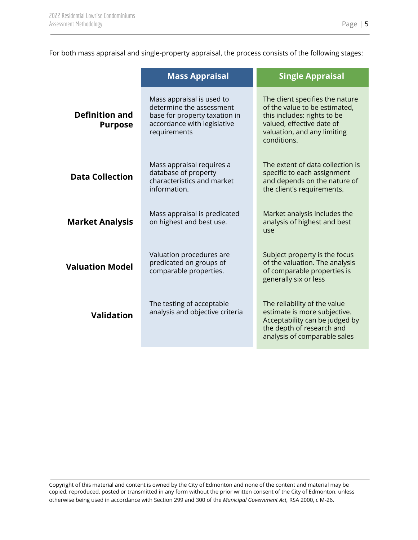For both mass appraisal and single-property appraisal, the process consists of the following stages:

|                                         | <b>Mass Appraisal</b>                                                                                                                 | <b>Single Appraisal</b>                                                                                                                                                    |
|-----------------------------------------|---------------------------------------------------------------------------------------------------------------------------------------|----------------------------------------------------------------------------------------------------------------------------------------------------------------------------|
| <b>Definition and</b><br><b>Purpose</b> | Mass appraisal is used to<br>determine the assessment<br>base for property taxation in<br>accordance with legislative<br>requirements | The client specifies the nature<br>of the value to be estimated,<br>this includes: rights to be<br>valued, effective date of<br>valuation, and any limiting<br>conditions. |
| <b>Data Collection</b>                  | Mass appraisal requires a<br>database of property<br>characteristics and market<br>information.                                       | The extent of data collection is<br>specific to each assignment<br>and depends on the nature of<br>the client's requirements.                                              |
| <b>Market Analysis</b>                  | Mass appraisal is predicated<br>on highest and best use.                                                                              | Market analysis includes the<br>analysis of highest and best<br>use                                                                                                        |
| <b>Valuation Model</b>                  | Valuation procedures are<br>predicated on groups of<br>comparable properties.                                                         | Subject property is the focus<br>of the valuation. The analysis<br>of comparable properties is<br>generally six or less                                                    |
| <b>Validation</b>                       | The testing of acceptable<br>analysis and objective criteria                                                                          | The reliability of the value<br>estimate is more subjective.<br>Acceptability can be judged by<br>the depth of research and<br>analysis of comparable sales                |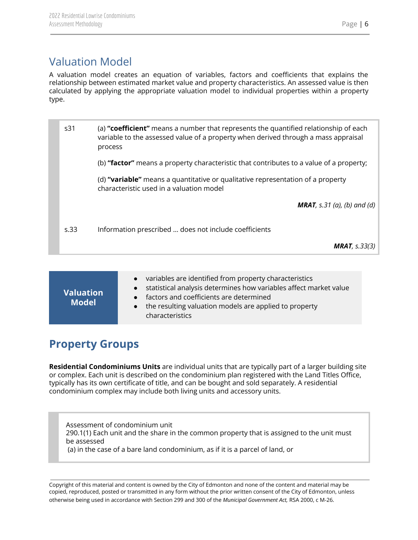# <span id="page-6-0"></span>Valuation Model

A valuation model creates an equation of variables, factors and coefficients that explains the relationship between estimated market value and property characteristics. An assessed value is then calculated by applying the appropriate valuation model to individual properties within a property type.

| s <sub>31</sub> | (a) "coefficient" means a number that represents the quantified relationship of each<br>variable to the assessed value of a property when derived through a mass appraisal<br>process |
|-----------------|---------------------------------------------------------------------------------------------------------------------------------------------------------------------------------------|
|                 | (b) "factor" means a property characteristic that contributes to a value of a property;                                                                                               |
|                 | (d) "variable" means a quantitative or qualitative representation of a property<br>characteristic used in a valuation model                                                           |
|                 | <b>MRAT</b> , s.31 (a), (b) and (d)                                                                                                                                                   |
| s.33            | Information prescribed  does not include coefficients                                                                                                                                 |
|                 | <b>MRAT</b> , $s.33(3)$                                                                                                                                                               |

| <b>Valuation</b><br><b>Model</b> | variables are identified from property characteristics<br>$\bullet$<br>statistical analysis determines how variables affect market value<br>$\bullet$<br>factors and coefficients are determined<br>$\bullet$<br>the resulting valuation models are applied to property<br>$\bullet$<br>characteristics |
|----------------------------------|---------------------------------------------------------------------------------------------------------------------------------------------------------------------------------------------------------------------------------------------------------------------------------------------------------|
|----------------------------------|---------------------------------------------------------------------------------------------------------------------------------------------------------------------------------------------------------------------------------------------------------------------------------------------------------|

# <span id="page-6-1"></span>**Property Groups**

**Residential Condominiums Units** are individual units that are typically part of a larger building site or complex. Each unit is described on the condominium plan registered with the Land Titles Office, typically has its own certificate of title, and can be bought and sold separately. A residential condominium complex may include both living units and accessory units.

Assessment of condominium unit 290.1(1) Each unit and the share in the common property that is assigned to the unit must be assessed (a) in the case of a bare land condominium, as if it is a parcel of land, or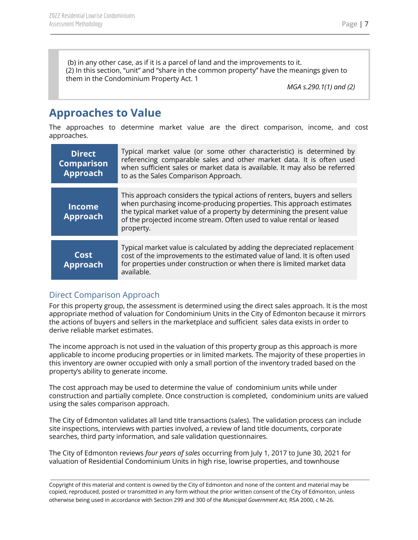(b) in any other case, as if it is a parcel of land and the improvements to it. (2) In this section, "unit" and "share in the common property" have the meanings given to them in the Condominium Property Act. 1

*MGA s.290.1(1) and (2)*

# <span id="page-7-0"></span>**Approaches to Value**

The approaches to determine market value are the direct comparison, income, and cost approaches.

| <b>Direct</b><br><b>Comparison</b><br><b>Approach</b> | Typical market value (or some other characteristic) is determined by<br>referencing comparable sales and other market data. It is often used<br>when sufficient sales or market data is available. It may also be referred<br>to as the Sales Comparison Approach.                                                 |
|-------------------------------------------------------|--------------------------------------------------------------------------------------------------------------------------------------------------------------------------------------------------------------------------------------------------------------------------------------------------------------------|
| <b>Income</b><br><b>Approach</b>                      | This approach considers the typical actions of renters, buyers and sellers<br>when purchasing income-producing properties. This approach estimates<br>the typical market value of a property by determining the present value<br>of the projected income stream. Often used to value rental or leased<br>property. |
| Cost<br><b>Approach</b>                               | Typical market value is calculated by adding the depreciated replacement<br>cost of the improvements to the estimated value of land. It is often used<br>for properties under construction or when there is limited market data<br>available.                                                                      |

#### <span id="page-7-1"></span>Direct Comparison Approach

For this property group, the assessment is determined using the direct sales approach. It is the most appropriate method of valuation for Condominium Units in the City of Edmonton because it mirrors the actions of buyers and sellers in the marketplace and sufficient sales data exists in order to derive reliable market estimates.

The income approach is not used in the valuation of this property group as this approach is more applicable to income producing properties or in limited markets. The majority of these properties in this inventory are owner occupied with only a small portion of the inventory traded based on the property's ability to generate income.

The cost approach may be used to determine the value of condominium units while under construction and partially complete. Once construction is completed, condominium units are valued using the sales comparison approach.

The City of Edmonton validates all land title transactions (sales). The validation process can include site inspections, interviews with parties involved, a review of land title documents, corporate searches, third party information, and sale validation questionnaires.

The City of Edmonton reviews *four years of sales* occurring from July 1, 2017 to June 30, 2021 for valuation of Residential Condominium Units in high rise, lowrise properties, and townhouse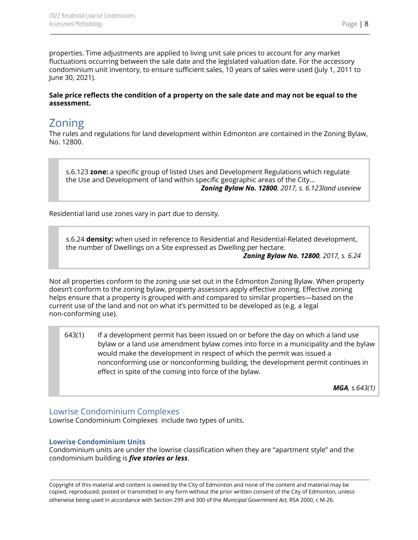properties. Time adjustments are applied to living unit sale prices to account for any market fluctuations occurring between the sale date and the legislated valuation date. For the accessory condominium unit inventory, to ensure sufficient sales, 10 years of sales were used (July 1, 2011 to June 30, 2021).

#### Sale price reflects the condition of a property on the sale date and may not be equal to the **assessment.**

# <span id="page-8-0"></span>Zoning

The rules and regulations for land development within Edmonton are contained in the Zoning Bylaw, No. 12800.

s.6.123 **zone:** a specific group of listed Uses and Development Regulations which regulate the Use and Development of land within specific geographic areas of the City... *Zoning Bylaw No. 12800, 2017, s. 6.123land useview*

Residential land use zones vary in part due to density.

s.6.24 **density:** when used in reference to Residential and Residential-Related development, the number of Dwellings on a Site expressed as Dwelling per hectare.

*Zoning Bylaw No. 12800, 2017, s. 6.24*

Not all properties conform to the zoning use set out in the Edmonton Zoning Bylaw. When property doesn't conform to the zoning bylaw, property assessors apply effective zoning. Effective zoning helps ensure that a property is grouped with and compared to similar properties—based on the current use of the land and not on what it's permitted to be developed as (e.g. a legal non-conforming use).

643(1) If a development permit has been issued on or before the day on which a land use bylaw or a land use amendment bylaw comes into force in a municipality and the bylaw would make the development in respect of which the permit was issued a nonconforming use or nonconforming building, the development permit continues in effect in spite of the coming into force of the bylaw.

*MGA, s.643(1)*

#### <span id="page-8-1"></span>Lowrise Condominium Complexes

Lowrise Condominium Complexes include two types of units.

#### <span id="page-8-2"></span>**Lowrise Condominium Units**

Condominium units are under the lowrise classification when they are "apartment style" and the condominium building is *five stories or less*.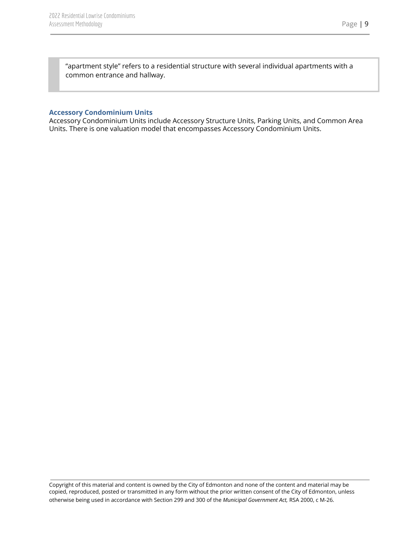"apartment style" refers to a residential structure with several individual apartments with a common entrance and hallway.

#### <span id="page-9-0"></span>**Accessory Condominium Units**

Accessory Condominium Units include Accessory Structure Units, Parking Units, and Common Area Units. There is one valuation model that encompasses Accessory Condominium Units.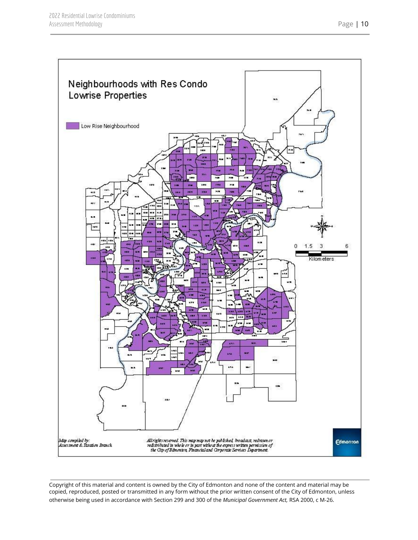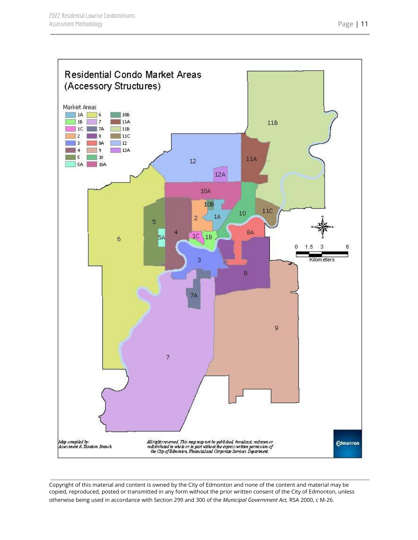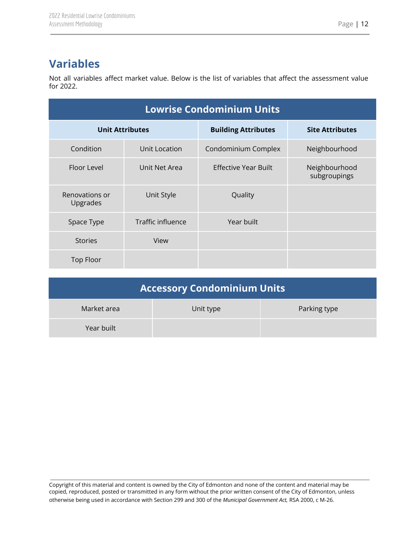# <span id="page-12-0"></span>**Variables**

Not all variables affect market value. Below is the list of variables that affect the assessment value for 2022.

| <b>Lowrise Condominium Units</b> |                   |                            |                               |
|----------------------------------|-------------------|----------------------------|-------------------------------|
| <b>Unit Attributes</b>           |                   | <b>Building Attributes</b> | <b>Site Attributes</b>        |
| Condition                        | Unit Location     | Condominium Complex        | Neighbourhood                 |
| Floor Level                      | Unit Net Area     | Effective Year Built       | Neighbourhood<br>subgroupings |
| Renovations or<br>Upgrades       | Unit Style        | Quality                    |                               |
| Space Type                       | Traffic influence | Year built                 |                               |
| <b>Stories</b>                   | View              |                            |                               |
| <b>Top Floor</b>                 |                   |                            |                               |

| <b>Accessory Condominium Units</b> |           |              |
|------------------------------------|-----------|--------------|
| Market area                        | Unit type | Parking type |
| Year built                         |           |              |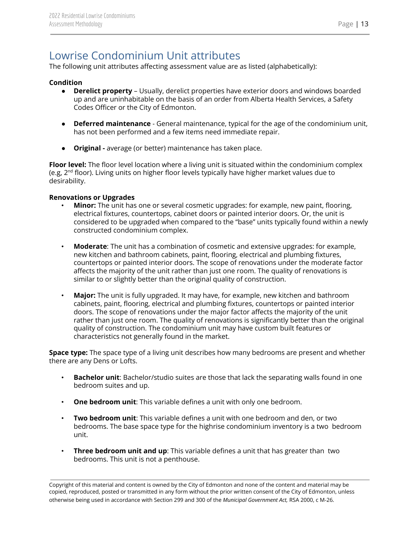# <span id="page-13-0"></span>Lowrise Condominium Unit attributes

The following unit attributes affecting assessment value are as listed (alphabetically):

#### **Condition**

- **Derelict property** Usually, derelict properties have exterior doors and windows boarded up and are uninhabitable on the basis of an order from Alberta Health Services, a Safety Codes Officer or the City of Edmonton.
- **Deferred maintenance** General maintenance, typical for the age of the condominium unit, has not been performed and a few items need immediate repair.
- **Original -** average (or better) maintenance has taken place.

**Floor level:** The floor level location where a living unit is situated within the condominium complex (e.g, 2<sup>nd</sup> floor). Living units on higher floor levels typically have higher market values due to desirability.

#### **Renovations or Upgrades**

- **Minor:** The unit has one or several cosmetic upgrades: for example, new paint, flooring, electrical fixtures, countertops, cabinet doors or painted interior doors. Or, the unit is considered to be upgraded when compared to the "base" units typically found within a newly constructed condominium complex.
- **Moderate**: The unit has a combination of cosmetic and extensive upgrades: for example, new kitchen and bathroom cabinets, paint, flooring, electrical and plumbing fixtures, countertops or painted interior doors. The scope of renovations under the moderate factor affects the majority of the unit rather than just one room. The quality of renovations is similar to or slightly better than the original quality of construction.
- **Major:** The unit is fully upgraded. It may have, for example, new kitchen and bathroom cabinets, paint, flooring, electrical and plumbing fixtures, countertops or painted interior doors. The scope of renovations under the major factor affects the majority of the unit rather than just one room. The quality of renovations is significantly better than the original quality of construction. The condominium unit may have custom built features or characteristics not generally found in the market.

**Space type:** The space type of a living unit describes how many bedrooms are present and whether there are any Dens or Lofts.

- **Bachelor unit**: Bachelor/studio suites are those that lack the separating walls found in one bedroom suites and up.
- **One bedroom unit**: This variable defines a unit with only one bedroom.
- **Two bedroom unit**: This variable defines a unit with one bedroom and den, or two bedrooms. The base space type for the highrise condominium inventory is a two bedroom unit.
- **Three bedroom unit and up**: This variable defines a unit that has greater than two bedrooms. This unit is not a penthouse.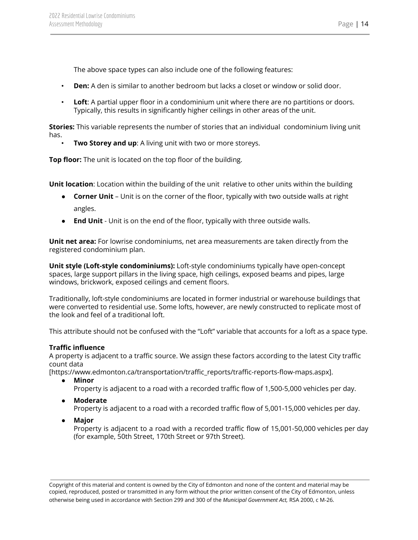The above space types can also include one of the following features:

- **Den:** A den is similar to another bedroom but lacks a closet or window or solid door.
- **Loft**: A partial upper floor in a condominium unit where there are no partitions or doors. Typically, this results in significantly higher ceilings in other areas of the unit.

**Stories:** This variable represents the number of stories that an individual condominium living unit has.

• **Two Storey and up**: A living unit with two or more storeys.

**Top floor:** The unit is located on the top floor of the building.

**Unit location**: Location within the building of the unit relative to other units within the building

- **Corner Unit** Unit is on the corner of the floor, typically with two outside walls at right angles.
- **End Unit** Unit is on the end of the floor, typically with three outside walls.

**Unit net area:** For lowrise condominiums, net area measurements are taken directly from the registered condominium plan.

**Unit style (Loft-style condominiums):** Loft-style condominiums typically have open-concept spaces, large support pillars in the living space, high ceilings, exposed beams and pipes, large windows, brickwork, exposed ceilings and cement floors.

Traditionally, loft-style condominiums are located in former industrial or warehouse buildings that were converted to residential use. Some lofts, however, are newly constructed to replicate most of the look and feel of a traditional loft.

This attribute should not be confused with the "Loft" variable that accounts for a loft as a space type.

#### **Traffic influence**

A property is adjacent to a traffic source. We assign these factors according to the latest City traffic count data

[https://www.edmonton.ca/transportation/traffic\_reports/traffic-reports-flow-maps.aspx].

- **● Minor** Property is adjacent to a road with a recorded traffic flow of 1,500-5,000 vehicles per day.
- **● Moderate**

Property is adjacent to a road with a recorded traffic flow of 5,001-15,000 vehicles per day.

**● Major**

Property is adjacent to a road with a recorded traffic flow of 15,001-50,000 vehicles per day (for example, 50th Street, 170th Street or 97th Street).

Copyright of this material and content is owned by the City of Edmonton and none of the content and material may be copied, reproduced, posted or transmitted in any form without the prior written consent of the City of Edmonton, unless otherwise being used in accordance with Section 299 and 300 of the *Municipal Government Act,* RSA 2000, c M-26.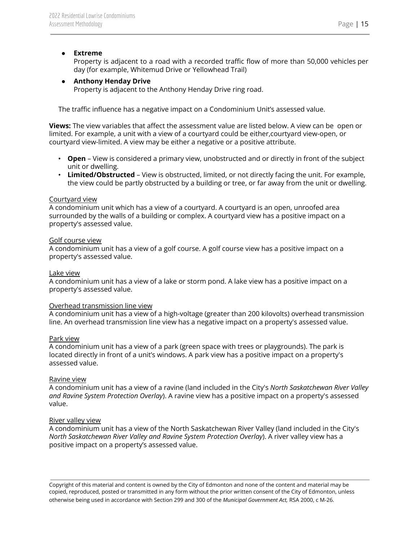#### **● Extreme**

Property is adjacent to a road with a recorded traffic flow of more than 50,000 vehicles per day (for example, Whitemud Drive or Yellowhead Trail)

#### **● Anthony Henday Drive**

Property is adjacent to the Anthony Henday Drive ring road.

The traffic influence has a negative impact on a Condominium Unit's assessed value.

**Views:** The view variables that affect the assessment value are listed below. A view can be open or limited. For example, a unit with a view of a courtyard could be either,courtyard view-open, or courtyard view-limited. A view may be either a negative or a positive attribute.

- **Open** View is considered a primary view, unobstructed and or directly in front of the subject unit or dwelling.
- **Limited/Obstructed** View is obstructed, limited, or not directly facing the unit. For example, the view could be partly obstructed by a building or tree, or far away from the unit or dwelling.

#### Courtyard view

A condominium unit which has a view of a courtyard. A courtyard is an open, unroofed area surrounded by the walls of a building or complex. A courtyard view has a positive impact on a property's assessed value.

#### Golf course view

A condominium unit has a view of a golf course. A golf course view has a positive impact on a property's assessed value.

#### Lake view

A condominium unit has a view of a lake or storm pond. A lake view has a positive impact on a property's assessed value.

#### Overhead transmission line view

A condominium unit has a view of a high-voltage (greater than 200 kilovolts) overhead transmission line. An overhead transmission line view has a negative impact on a property's assessed value.

#### Park view

A condominium unit has a view of a park (green space with trees or playgrounds). The park is located directly in front of a unit's windows. A park view has a positive impact on a property's assessed value.

#### Ravine view

A condominium unit has a view of a ravine (land included in the City's *North Saskatchewan River Valley and Ravine System Protection Overlay*). A ravine view has a positive impact on a property's assessed value.

#### River valley view

A condominium unit has a view of the North Saskatchewan River Valley (land included in the City's *North Saskatchewan River Valley and Ravine System Protection Overlay*). A river valley view has a positive impact on a property's assessed value.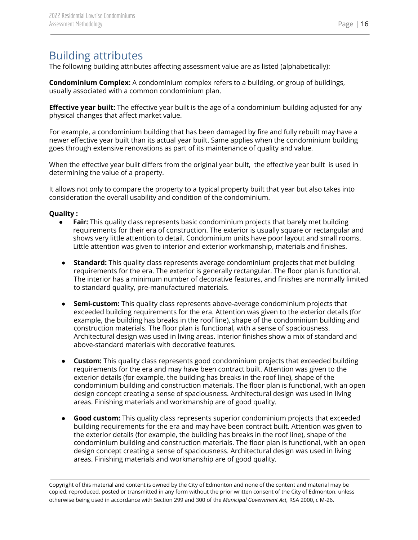### <span id="page-16-0"></span>Building attributes

The following building attributes affecting assessment value are as listed (alphabetically):

**Condominium Complex:** A condominium complex refers to a building, or group of buildings, usually associated with a common condominium plan.

**Effective year built:** The effective year built is the age of a condominium building adjusted for any physical changes that affect market value.

For example, a condominium building that has been damaged by fire and fully rebuilt may have a newer effective year built than its actual year built. Same applies when the condominium building goes through extensive renovations as part of its maintenance of quality and value.

When the effective year built differs from the original year built, the effective year built is used in determining the value of a property.

It allows not only to compare the property to a typical property built that year but also takes into consideration the overall usability and condition of the condominium.

#### **Quality :**

- **Fair:** This quality class represents basic condominium projects that barely met building requirements for their era of construction. The exterior is usually square or rectangular and shows very little attention to detail. Condominium units have poor layout and small rooms. Little attention was given to interior and exterior workmanship, materials and finishes.
- **Standard:** This quality class represents average condominium projects that met building requirements for the era. The exterior is generally rectangular. The floor plan is functional. The interior has a minimum number of decorative features, and finishes are normally limited to standard quality, pre-manufactured materials.
- **Semi-custom:** This quality class represents above-average condominium projects that exceeded building requirements for the era. Attention was given to the exterior details (for example, the building has breaks in the roof line), shape of the condominium building and construction materials. The floor plan is functional, with a sense of spaciousness. Architectural design was used in living areas. Interior finishes show a mix of standard and above-standard materials with decorative features.
- **Custom:** This quality class represents good condominium projects that exceeded building requirements for the era and may have been contract built. Attention was given to the exterior details (for example, the building has breaks in the roof line), shape of the condominium building and construction materials. The floor plan is functional, with an open design concept creating a sense of spaciousness. Architectural design was used in living areas. Finishing materials and workmanship are of good quality.
- **Good custom:** This quality class represents superior condominium projects that exceeded building requirements for the era and may have been contract built. Attention was given to the exterior details (for example, the building has breaks in the roof line), shape of the condominium building and construction materials. The floor plan is functional, with an open design concept creating a sense of spaciousness. Architectural design was used in living areas. Finishing materials and workmanship are of good quality.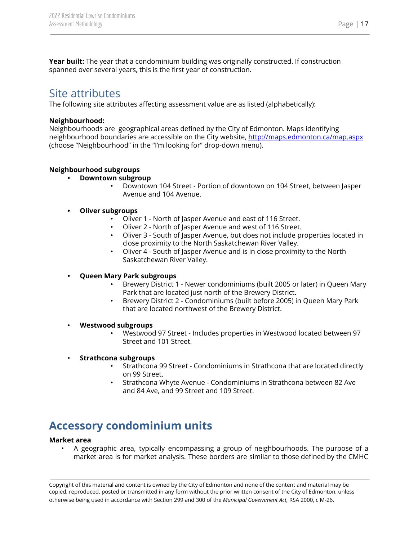**Year built:** The year that a condominium building was originally constructed. If construction spanned over several years, this is the first year of construction.

### <span id="page-17-0"></span>Site attributes

The following site attributes affecting assessment value are as listed (alphabetically):

#### **Neighbourhood:**

Neighbourhoods are geographical areas defined by the City of Edmonton. Maps identifying neighbourhood boundaries are accessible on the City website, <http://maps.edmonton.ca/map.aspx> (choose "Neighbourhood" in the "I'm looking for" drop-down menu)[.](http://www.edmonton.ca/residential_neighbourhoods/your-neighbourhood.aspx)

#### **Neighbourhood subgroups**

- **• Downtown subgroup**
	- Downtown 104 Street Portion of downtown on 104 Street, between Jasper Avenue and 104 Avenue.
- **• Oliver subgroups**
	- Oliver 1 North of Jasper Avenue and east of 116 Street.
	- Oliver 2 North of Jasper Avenue and west of 116 Street.
	- Oliver 3 South of Jasper Avenue, but does not include properties located in close proximity to the North Saskatchewan River Valley.
	- Oliver 4 South of Jasper Avenue and is in close proximity to the North Saskatchewan River Valley.

#### **• Queen Mary Park subgroups**

- Brewery District 1 Newer condominiums (built 2005 or later) in Queen Mary Park that are located just north of the Brewery District.
- Brewery District 2 Condominiums (built before 2005) in Queen Mary Park that are located northwest of the Brewery District.
- **Westwood subgroups**
	- Westwood 97 Street Includes properties in Westwood located between 97 Street and 101 Street.

#### • **Strathcona subgroups**

- Strathcona 99 Street Condominiums in Strathcona that are located directly on 99 Street.
- Strathcona Whyte Avenue Condominiums in Strathcona between 82 Ave and 84 Ave, and 99 Street and 109 Street.

# <span id="page-17-1"></span>**Accessory condominium units**

#### **Market area**

• A geographic area, typically encompassing a group of neighbourhoods. The purpose of a market area is for market analysis. These borders are similar to those defined by the CMHC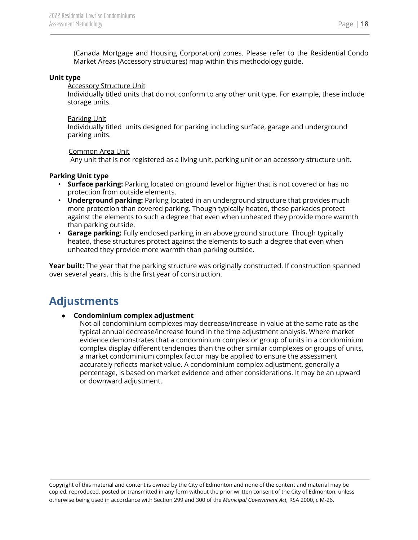(Canada Mortgage and Housing Corporation) zones. Please refer to the Residential Condo Market Areas (Accessory structures) map within this methodology guide.

#### **Unit type**

Accessory Structure Unit

Individually titled units that do not conform to any other unit type. For example, these include storage units.

#### Parking Unit

Individually titled units designed for parking including surface, garage and underground parking units.

#### Common Area Unit

Any unit that is not registered as a living unit, parking unit or an accessory structure unit.

#### **Parking Unit type**

- **Surface parking:** Parking located on ground level or higher that is not covered or has no protection from outside elements.
- **Underground parking:** Parking located in an underground structure that provides much more protection than covered parking. Though typically heated, these parkades protect against the elements to such a degree that even when unheated they provide more warmth than parking outside.
- **Garage parking:** Fully enclosed parking in an above ground structure. Though typically heated, these structures protect against the elements to such a degree that even when unheated they provide more warmth than parking outside.

**Year built:** The year that the parking structure was originally constructed. If construction spanned over several years, this is the first year of construction.

### <span id="page-18-0"></span>**Adjustments**

#### ● **Condominium complex adjustment**

Not all condominium complexes may decrease/increase in value at the same rate as the typical annual decrease/increase found in the time adjustment analysis. Where market evidence demonstrates that a condominium complex or group of units in a condominium complex display different tendencies than the other similar complexes or groups of units, a market condominium complex factor may be applied to ensure the assessment accurately reflects market value. A condominium complex adjustment, generally a percentage, is based on market evidence and other considerations. It may be an upward or downward adjustment.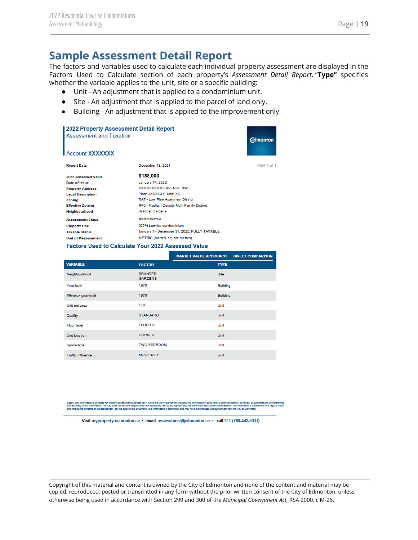### **Sample Assessment Detail Report**

The factors and variables used to calculate each individual property assessment are displayed in the Factors Used to Calculate section of each property's *Assessment Detail Report*. "**Type"** specifies whether the variable applies to the unit, site or a specific building:

dmonton

page 1 of 1

- Unit An adjustment that is applied to a condominium unit.
- Site An adjustment that is applied to the parcel of land only.
- Building An adjustment that is applied to the improvement only.

| <b>2022 Property Assessment Detail Report</b><br><b>Assessment and Taxation</b><br><b>Account XXXXXXX</b> |                                              |  |
|-----------------------------------------------------------------------------------------------------------|----------------------------------------------|--|
| <b>Report Date</b>                                                                                        | December 13, 2021                            |  |
| 2022 Assessed Value                                                                                       | \$188,000                                    |  |
| Date of Issue                                                                                             | January 14, 2022                             |  |
| <b>Property Address</b>                                                                                   | XXX XXXXX XX AVENUE NW                       |  |
| <b>Legal Description</b>                                                                                  | Plan: XXXXXXX Unit: XX                       |  |
| Zoning                                                                                                    | RA7 - Low Rise Apartment District            |  |
| <b>Effective Zoning</b>                                                                                   | RF6 - Medium Density Multi Family District   |  |
| <b>Neighbourhood</b>                                                                                      | <b>Brander Gardens</b>                       |  |
| <b>Assessment Class</b>                                                                                   | <b>RESIDENTIAL</b>                           |  |
| <b>Property Use</b>                                                                                       | 100% Lowrise condominium                     |  |
| <b>Taxable Status</b>                                                                                     | January 1 - December 31, 2022; FULLY TAXABLE |  |
| <b>Unit of Measurement</b>                                                                                | METRIC (metres, square metres)               |  |
|                                                                                                           |                                              |  |

#### Factors Used to Calculate Your 2022 Assessed Value

|                             |                                  | <b>MARKET VALUE APPROACH</b> | <b>DIRECT COMPARISON</b> |
|-----------------------------|----------------------------------|------------------------------|--------------------------|
| <b>VARIABLE</b>             | <b>FACTOR</b>                    | <b>TYPE</b>                  |                          |
| Neighbourhood               | <b>BRANDER</b><br><b>GARDENS</b> | Site                         |                          |
| Year built                  | 1976                             | <b>Building</b>              |                          |
| <b>Effective year built</b> | 1976                             | <b>Building</b>              |                          |
| Unit net area               | 170                              | Unit                         |                          |
| Quality                     | <b>STANDARD</b>                  | Unit                         |                          |
| <b>Floor level</b>          | FLOOR 3                          | Unit                         |                          |
| Unit location               | <b>CORNER</b>                    | Unit                         |                          |
| Space type                  | <b>TWO BEDROOM</b>               | Unit                         |                          |
| <b>Traffic influence</b>    | <b>MODERATE</b>                  | <b>Unit</b>                  |                          |

es not assume<br>es not assume<br>per the date on .<br>Wity nor accept any liability arising from any use other than asses:<br>ment. This information is proprietary and may not be reproduced. sment interpretation. The information is mail<br>without consent from the City of Edmonton tained on a reg

Visit myproperty.edmonton.ca · email assessment@edmonton.ca · call 311 (780-442-5311)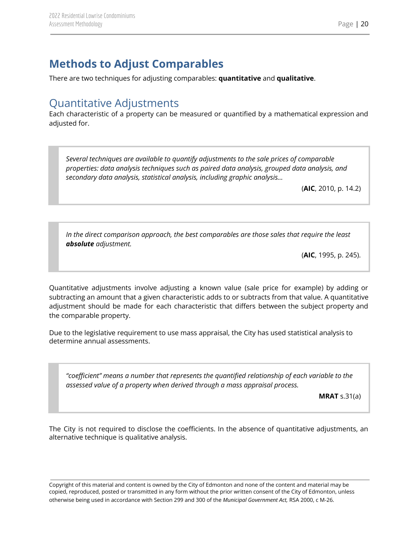# <span id="page-20-0"></span>**Methods to Adjust Comparables**

There are two techniques for adjusting comparables: **quantitative** and **qualitative**.

### <span id="page-20-1"></span>Quantitative Adjustments

Each characteristic of a property can be measured or quantified by a mathematical expression and adjusted for.

*Several techniques are available to quantify adjustments to the sale prices of comparable properties: data analysis techniques such as paired data analysis, grouped data analysis, and secondary data analysis, statistical analysis, including graphic analysis…*

(**AIC**, 2010, p. 14.2)

*In the direct comparison approach, the best comparables are those sales that require the least absolute adjustment.*

(**AIC**, 1995, p. 245).

Quantitative adjustments involve adjusting a known value (sale price for example) by adding or subtracting an amount that a given characteristic adds to or subtracts from that value. A quantitative adjustment should be made for each characteristic that differs between the subject property and the comparable property.

Due to the legislative requirement to use mass appraisal, the City has used statistical analysis to determine annual assessments.

*"coefficient" means a number that represents the quantified relationship of each variable to the assessed value of a property when derived through a mass appraisal process.*

**MRAT** s.31(a)

The City is not required to disclose the coefficients. In the absence of quantitative adjustments, an alternative technique is qualitative analysis.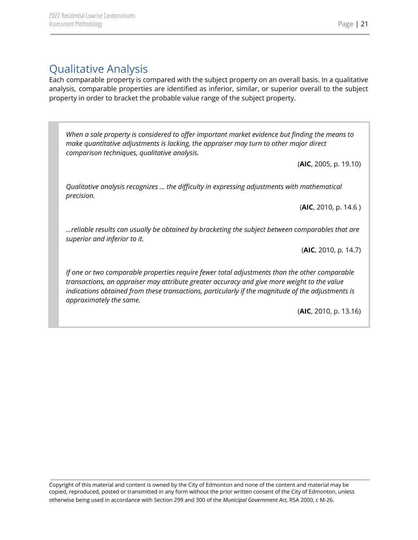# <span id="page-21-0"></span>Qualitative Analysis

Each comparable property is compared with the subject property on an overall basis. In a qualitative analysis, comparable properties are identified as inferior, similar, or superior overall to the subject property in order to bracket the probable value range of the subject property.

*When a sale property is considered to offer important market evidence but finding the means to make quantitative adjustments is lacking, the appraiser may turn to other major direct comparison techniques, qualitative analysis.*

(**AIC**, 2005, p. 19.10)

*Qualitative analysis recognizes … the difficulty in expressing adjustments with mathematical precision.*

(**AIC**, 2010, p. 14.6 )

*…reliable results can usually be obtained by bracketing the subject between comparables that are superior and inferior to it.*

(**AIC**, 2010, p. 14.7)

*If one or two comparable properties require fewer total adjustments than the other comparable transactions, an appraiser may attribute greater accuracy and give more weight to the value indications obtained from these transactions, particularly if the magnitude of the adjustments is approximately the same.*

(**AIC**, 2010, p. 13.16)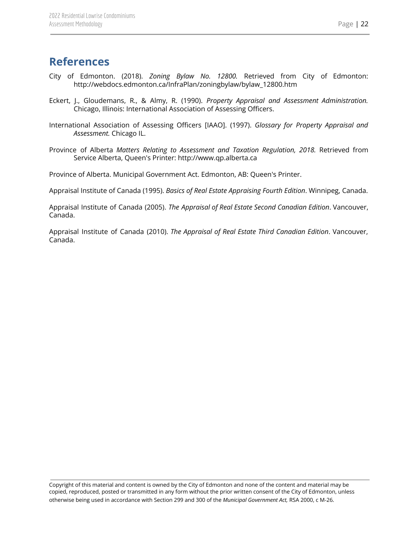### <span id="page-22-0"></span>**References**

- City of Edmonton. (2018). *Zoning Bylaw No. 12800.* Retrieved from City of Edmonton: http://webdocs.edmonton.ca/InfraPlan/zoningbylaw/bylaw\_12800.htm
- Eckert, J., Gloudemans, R., & Almy, R. (1990). *Property Appraisal and Assessment Administration.* Chicago, Illinois: International Association of Assessing Officers.
- International Association of Assessing Officers [IAAO]. (1997). *Glossary for Property Appraisal and Assessment.* Chicago IL.
- Province of Alberta *Matters Relating to Assessment and Taxation Regulation, 2018.* Retrieved from Service Alberta, Queen's Printer: http://www.qp.alberta.ca

Province of Alberta. Municipal Government Act. Edmonton, AB: Queen's Printer.

Appraisal Institute of Canada (1995). *Basics of Real Estate Appraising Fourth Edition*. Winnipeg, Canada.

Appraisal Institute of Canada (2005). *The Appraisal of Real Estate Second Canadian Edition*. Vancouver, Canada.

Appraisal Institute of Canada (2010). *The Appraisal of Real Estate Third Canadian Edition*. Vancouver, Canada.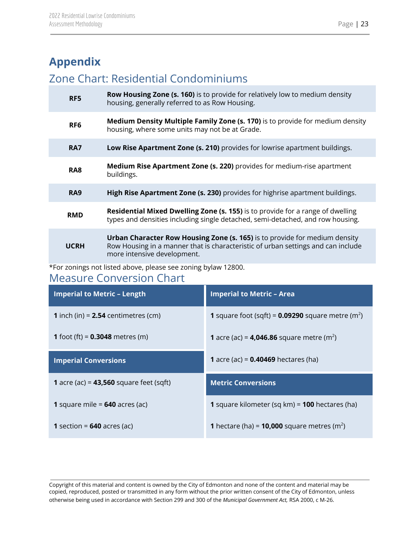# <span id="page-23-0"></span>**Appendix**

### <span id="page-23-1"></span>Zone Chart: Residential Condominiums

| RF <sub>5</sub> | <b>Row Housing Zone (s. 160)</b> is to provide for relatively low to medium density<br>housing, generally referred to as Row Housing.                                                                |
|-----------------|------------------------------------------------------------------------------------------------------------------------------------------------------------------------------------------------------|
| RF <sub>6</sub> | <b>Medium Density Multiple Family Zone (s. 170)</b> is to provide for medium density<br>housing, where some units may not be at Grade.                                                               |
| RA7             | Low Rise Apartment Zone (s. 210) provides for lowrise apartment buildings.                                                                                                                           |
| RA <sub>8</sub> | <b>Medium Rise Apartment Zone (s. 220)</b> provides for medium-rise apartment<br>buildings.                                                                                                          |
| RA <sub>9</sub> | High Rise Apartment Zone (s. 230) provides for highrise apartment buildings.                                                                                                                         |
| <b>RMD</b>      | Residential Mixed Dwelling Zone (s. 155) is to provide for a range of dwelling<br>types and densities including single detached, semi-detached, and row housing.                                     |
| <b>UCRH</b>     | <b>Urban Character Row Housing Zone (s. 165)</b> is to provide for medium density<br>Row Housing in a manner that is characteristic of urban settings and can include<br>more intensive development. |

\*For zonings not listed above, please see zoning bylaw 12800.

### <span id="page-23-2"></span>Measure Conversion Chart

| <b>Imperial to Metric - Length</b>               | <b>Imperial to Metric - Area</b>                                       |
|--------------------------------------------------|------------------------------------------------------------------------|
| <b>1</b> inch (in) = $2.54$ centimetres (cm)     | <b>1</b> square foot (sqft) = $0.09290$ square metre (m <sup>2</sup> ) |
| <b>1</b> foot (ft) = $0.3048$ metres (m)         | <b>1</b> acre (ac) = <b>4,046.86</b> square metre (m <sup>2</sup> )    |
| <b>Imperial Conversions</b>                      | <b>1</b> acre (ac) = $0.40469$ hectares (ha)                           |
| <b>1</b> acre (ac) = $43,560$ square feet (sqft) | <b>Metric Conversions</b>                                              |
| <b>1</b> square mile = $640$ acres (ac)          | 1 square kilometer (sq km) = 100 hectares (ha)                         |
| <b>1</b> section = $640$ acres (ac)              | <b>1</b> hectare (ha) = <b>10,000</b> square metres (m <sup>2</sup> )  |